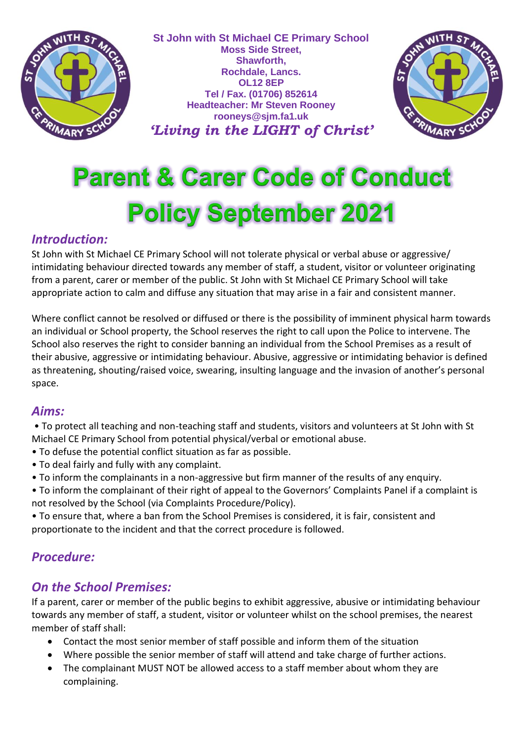

**St John with St Michael CE Primary School Moss Side Street, Shawforth, Rochdale, Lancs. OL12 8EP Tel / Fax. (01706) 852614 Headteacher: Mr Steven Rooney rooneys@sjm.fa1.uk** *'Living in the LIGHT of Christ'*



# **Parent & Carer Code of Conduct Policy September 2021**

#### *Introduction:*

St John with St Michael CE Primary School will not tolerate physical or verbal abuse or aggressive/ intimidating behaviour directed towards any member of staff, a student, visitor or volunteer originating from a parent, carer or member of the public. St John with St Michael CE Primary School will take appropriate action to calm and diffuse any situation that may arise in a fair and consistent manner.

Where conflict cannot be resolved or diffused or there is the possibility of imminent physical harm towards an individual or School property, the School reserves the right to call upon the Police to intervene. The School also reserves the right to consider banning an individual from the School Premises as a result of their abusive, aggressive or intimidating behaviour. Abusive, aggressive or intimidating behavior is defined as threatening, shouting/raised voice, swearing, insulting language and the invasion of another's personal space.

#### *Aims:*

• To protect all teaching and non-teaching staff and students, visitors and volunteers at St John with St Michael CE Primary School from potential physical/verbal or emotional abuse.

- To defuse the potential conflict situation as far as possible.
- To deal fairly and fully with any complaint.
- To inform the complainants in a non-aggressive but firm manner of the results of any enquiry.
- To inform the complainant of their right of appeal to the Governors' Complaints Panel if a complaint is not resolved by the School (via Complaints Procedure/Policy).
- To ensure that, where a ban from the School Premises is considered, it is fair, consistent and proportionate to the incident and that the correct procedure is followed.

## *Procedure:*

## *On the School Premises:*

If a parent, carer or member of the public begins to exhibit aggressive, abusive or intimidating behaviour towards any member of staff, a student, visitor or volunteer whilst on the school premises, the nearest member of staff shall:

- Contact the most senior member of staff possible and inform them of the situation
- Where possible the senior member of staff will attend and take charge of further actions.
- The complainant MUST NOT be allowed access to a staff member about whom they are complaining.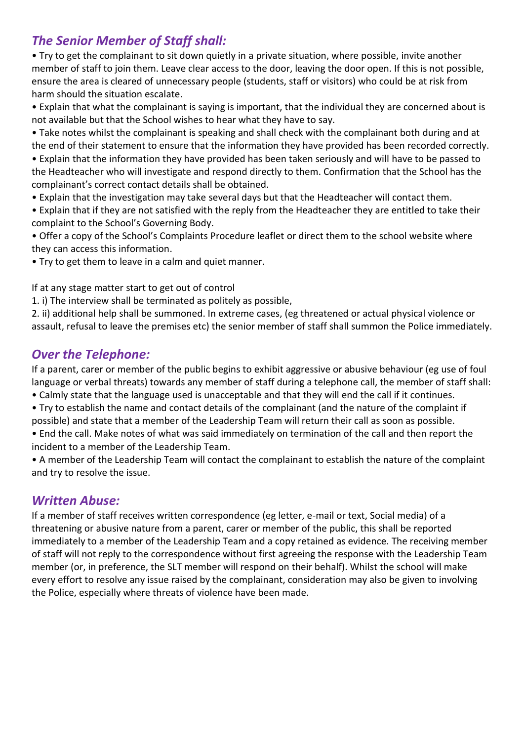### *The Senior Member of Staff shall:*

• Try to get the complainant to sit down quietly in a private situation, where possible, invite another member of staff to join them. Leave clear access to the door, leaving the door open. If this is not possible, ensure the area is cleared of unnecessary people (students, staff or visitors) who could be at risk from harm should the situation escalate.

• Explain that what the complainant is saying is important, that the individual they are concerned about is not available but that the School wishes to hear what they have to say.

• Take notes whilst the complainant is speaking and shall check with the complainant both during and at the end of their statement to ensure that the information they have provided has been recorded correctly.

• Explain that the information they have provided has been taken seriously and will have to be passed to the Headteacher who will investigate and respond directly to them. Confirmation that the School has the complainant's correct contact details shall be obtained.

- Explain that the investigation may take several days but that the Headteacher will contact them.
- Explain that if they are not satisfied with the reply from the Headteacher they are entitled to take their complaint to the School's Governing Body.

• Offer a copy of the School's Complaints Procedure leaflet or direct them to the school website where they can access this information.

• Try to get them to leave in a calm and quiet manner.

If at any stage matter start to get out of control

1. i) The interview shall be terminated as politely as possible,

2. ii) additional help shall be summoned. In extreme cases, (eg threatened or actual physical violence or assault, refusal to leave the premises etc) the senior member of staff shall summon the Police immediately.

#### *Over the Telephone:*

If a parent, carer or member of the public begins to exhibit aggressive or abusive behaviour (eg use of foul language or verbal threats) towards any member of staff during a telephone call, the member of staff shall:

- Calmly state that the language used is unacceptable and that they will end the call if it continues.
- Try to establish the name and contact details of the complainant (and the nature of the complaint if possible) and state that a member of the Leadership Team will return their call as soon as possible.
- End the call. Make notes of what was said immediately on termination of the call and then report the incident to a member of the Leadership Team.

• A member of the Leadership Team will contact the complainant to establish the nature of the complaint and try to resolve the issue.

#### *Written Abuse:*

If a member of staff receives written correspondence (eg letter, e-mail or text, Social media) of a threatening or abusive nature from a parent, carer or member of the public, this shall be reported immediately to a member of the Leadership Team and a copy retained as evidence. The receiving member of staff will not reply to the correspondence without first agreeing the response with the Leadership Team member (or, in preference, the SLT member will respond on their behalf). Whilst the school will make every effort to resolve any issue raised by the complainant, consideration may also be given to involving the Police, especially where threats of violence have been made.